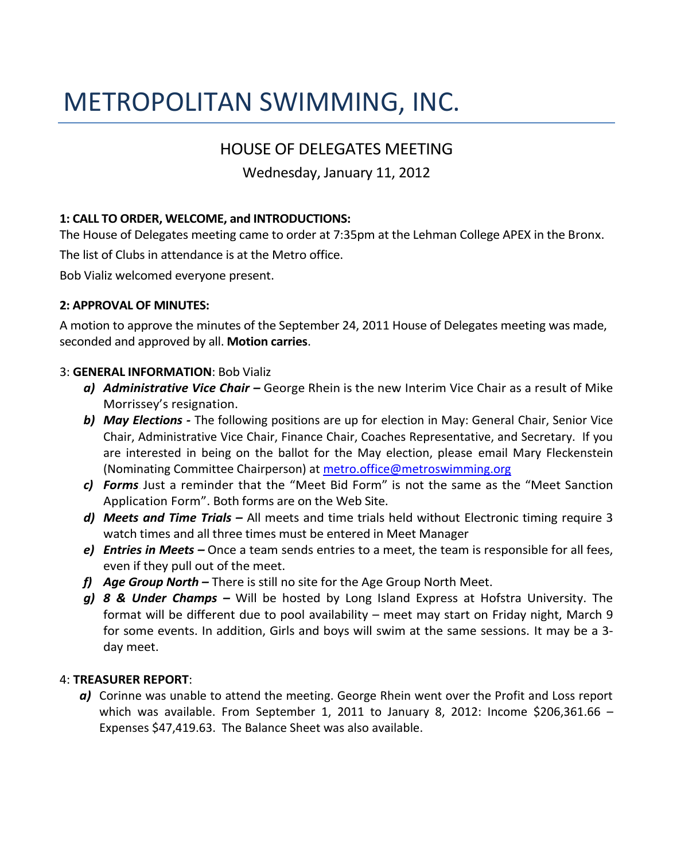# METROPOLITAN SWIMMING, INC.

## HOUSE OF DELEGATES MEETING

## Wednesday, January 11, 2012

### **1: CALL TO ORDER, WELCOME, and INTRODUCTIONS:**

The House of Delegates meeting came to order at 7:35pm at the Lehman College APEX in the Bronx.

The list of Clubs in attendance is at the Metro office.

Bob Vializ welcomed everyone present.

#### **2: APPROVAL OF MINUTES:**

A motion to approve the minutes of the September 24, 2011 House of Delegates meeting was made, seconded and approved by all. **Motion carries**.

#### 3: **GENERAL INFORMATION**: Bob Vializ

- *a) Administrative Vice Chair –* George Rhein is the new Interim Vice Chair as a result of Mike Morrissey's resignation.
- *b) May Elections -* The following positions are up for election in May: General Chair, Senior Vice Chair, Administrative Vice Chair, Finance Chair, Coaches Representative, and Secretary. If you are interested in being on the ballot for the May election, please email Mary Fleckenstein (Nominating Committee Chairperson) at [metro.office@metroswimming.org](mailto:metro.office@metroswimming.org)
- *c) Forms-* Just a reminder that the "Meet Bid Form" is not the same as the "Meet Sanction Application Form". Both forms are on the Web Site.
- *d) Meets and Time Trials –* All meets and time trials held without Electronic timing require 3 watch times and all three times must be entered in Meet Manager
- *e) Entries in Meets –* Once a team sends entries to a meet, the team is responsible for all fees, even if they pull out of the meet.
- *f) Age Group North –* There is still no site for the Age Group North Meet.
- *g) 8 & Under Champs –* Will be hosted by Long Island Express at Hofstra University. The format will be different due to pool availability – meet may start on Friday night, March 9 for some events. In addition, Girls and boys will swim at the same sessions. It may be a 3 day meet.

#### 4: **TREASURER REPORT**:

*a)* Corinne was unable to attend the meeting. George Rhein went over the Profit and Loss report which was available. From September 1, 2011 to January 8, 2012: Income \$206,361.66 – Expenses \$47,419.63. The Balance Sheet was also available.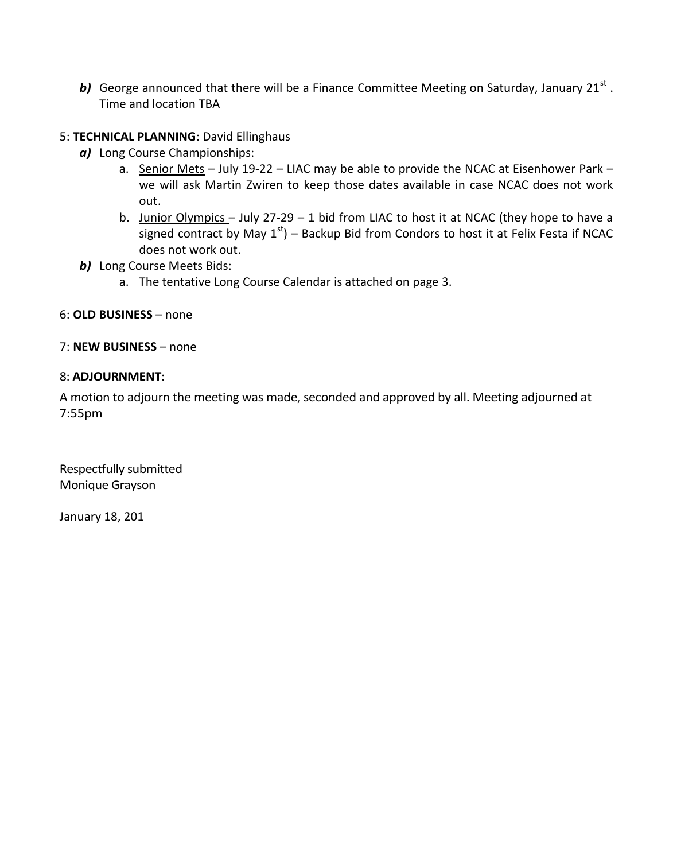b) George announced that there will be a Finance Committee Meeting on Saturday, January 21<sup>st</sup>. Time and location TBA

#### 5: **TECHNICAL PLANNING**: David Ellinghaus

- *a)* Long Course Championships:
	- a. Senior Mets July 19-22 LIAC may be able to provide the NCAC at Eisenhower Park we will ask Martin Zwiren to keep those dates available in case NCAC does not work out.
	- b. Junior Olympics July 27-29 1 bid from LIAC to host it at NCAC (they hope to have a signed contract by May  $1<sup>st</sup>$ ) – Backup Bid from Condors to host it at Felix Festa if NCAC does not work out.
- **b)** Long Course Meets Bids:
	- a. The tentative Long Course Calendar is attached on page 3.

#### 6: **OLD BUSINESS** – none

#### 7: **NEW BUSINESS** – none

#### 8: **ADJOURNMENT**:

A motion to adjourn the meeting was made, seconded and approved by all. Meeting adjourned at 7:55pm

Respectfully submitted Monique Grayson

January 18, 201